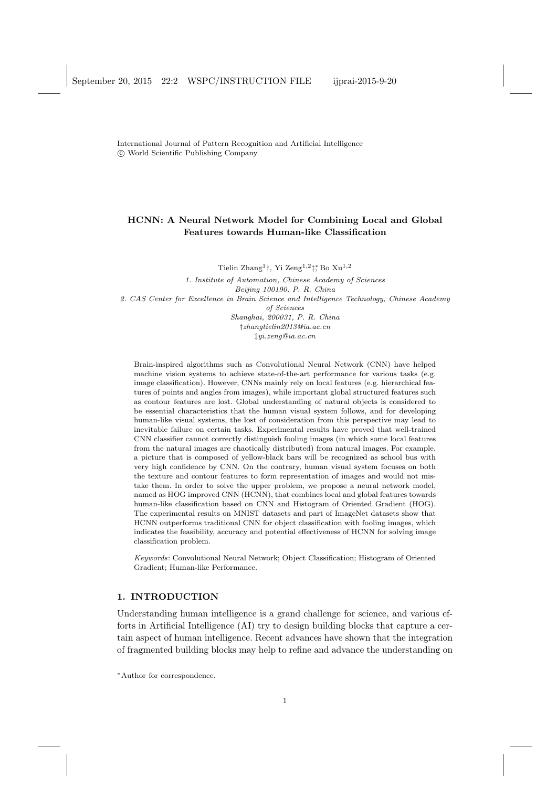International Journal of Pattern Recognition and Artificial Intelligence *⃝*c World Scientific Publishing Company

# **HCNN: A Neural Network Model for Combining Local and Global Features towards Human-like Classification**

Tielin Zhang1*†*, Yi Zeng1*,*2*‡ <sup>∗</sup>*, Bo Xu1*,*<sup>2</sup>

*1. Institute of Automation, Chinese Academy of Sciences Beijing 100190, P. R. China 2. CAS Center for Excellence in Brain Science and Intelligence Technology, Chinese Academy of Sciences Shanghai, 200031, P. R. China †zhangtielin2013@ia.ac.cn ‡yi.zeng@ia.ac.cn*

Brain-inspired algorithms such as Convolutional Neural Network (CNN) have helped machine vision systems to achieve state-of-the-art performance for various tasks (e.g. image classification). However, CNNs mainly rely on local features (e.g. hierarchical features of points and angles from images), while important global structured features such as contour features are lost. Global understanding of natural objects is considered to be essential characteristics that the human visual system follows, and for developing human-like visual systems, the lost of consideration from this perspective may lead to inevitable failure on certain tasks. Experimental results have proved that well-trained CNN classifier cannot correctly distinguish fooling images (in which some local features from the natural images are chaotically distributed) from natural images. For example, a picture that is composed of yellow-black bars will be recognized as school bus with very high confidence by CNN. On the contrary, human visual system focuses on both the texture and contour features to form representation of images and would not mistake them. In order to solve the upper problem, we propose a neural network model, named as HOG improved CNN (HCNN), that combines local and global features towards human-like classification based on CNN and Histogram of Oriented Gradient (HOG). The experimental results on MNIST datasets and part of ImageNet datasets show that HCNN outperforms traditional CNN for object classification with fooling images, which indicates the feasibility, accuracy and potential effectiveness of HCNN for solving image classification problem.

*Keywords*: Convolutional Neural Network; Object Classification; Histogram of Oriented Gradient; Human-like Performance.

## **1. INTRODUCTION**

Understanding human intelligence is a grand challenge for science, and various efforts in Artificial Intelligence (AI) try to design building blocks that capture a certain aspect of human intelligence. Recent advances have shown that the integration of fragmented building blocks may help to refine and advance the understanding on

*∗*Author for correspondence.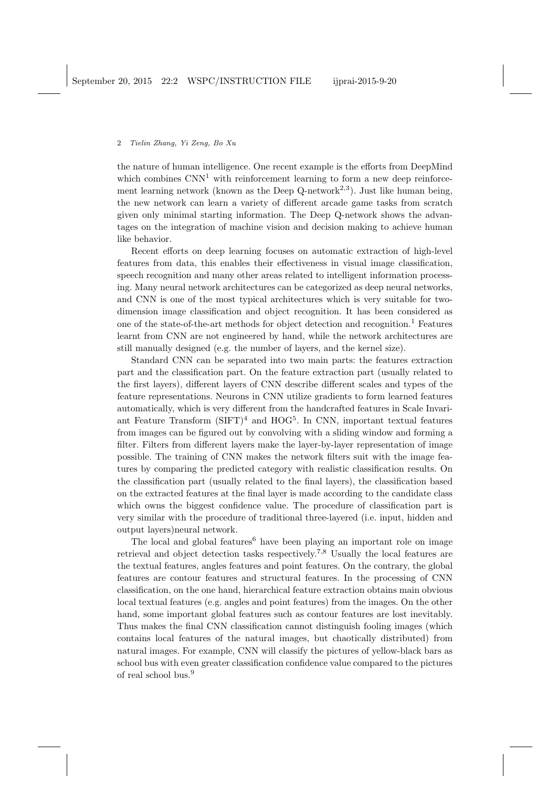the nature of human intelligence. One recent example is the efforts from DeepMind which combines  $CNN<sup>1</sup>$  with reinforcement learning to form a new deep reinforcement learning network (known as the Deep Q-network<sup>2,3</sup>). Just like human being, the new network can learn a variety of different arcade game tasks from scratch given only minimal starting information. The Deep Q-network shows the advantages on the integration of machine vision and decision making to achieve human like behavior.

Recent efforts on deep learning focuses on automatic extraction of high-level features from data, this enables their effectiveness in visual image classification, speech recognition and many other areas related to intelligent information processing. Many neural network architectures can be categorized as deep neural networks, and CNN is one of the most typical architectures which is very suitable for twodimension image classification and object recognition. It has been considered as one of the state-of-the-art methods for object detection and recognition.<sup>1</sup> Features learnt from CNN are not engineered by hand, while the network architectures are still manually designed (e.g. the number of layers, and the kernel size).

Standard CNN can be separated into two main parts: the features extraction part and the classification part. On the feature extraction part (usually related to the first layers), different layers of CNN describe different scales and types of the feature representations. Neurons in CNN utilize gradients to form learned features automatically, which is very different from the handcrafted features in Scale Invariant Feature Transform (SIFT)<sup>4</sup> and HOG<sup>5</sup>. In CNN, important textual features from images can be figured out by convolving with a sliding window and forming a filter. Filters from different layers make the layer-by-layer representation of image possible. The training of CNN makes the network filters suit with the image features by comparing the predicted category with realistic classification results. On the classification part (usually related to the final layers), the classification based on the extracted features at the final layer is made according to the candidate class which owns the biggest confidence value. The procedure of classification part is very similar with the procedure of traditional three-layered (i.e. input, hidden and output layers)neural network.

The local and global features<sup>6</sup> have been playing an important role on image retrieval and object detection tasks respectively.<sup>7</sup>*,*<sup>8</sup> Usually the local features are the textual features, angles features and point features. On the contrary, the global features are contour features and structural features. In the processing of CNN classification, on the one hand, hierarchical feature extraction obtains main obvious local textual features (e.g. angles and point features) from the images. On the other hand, some important global features such as contour features are lost inevitably. Thus makes the final CNN classification cannot distinguish fooling images (which contains local features of the natural images, but chaotically distributed) from natural images. For example, CNN will classify the pictures of yellow-black bars as school bus with even greater classification confidence value compared to the pictures of real school bus.<sup>9</sup>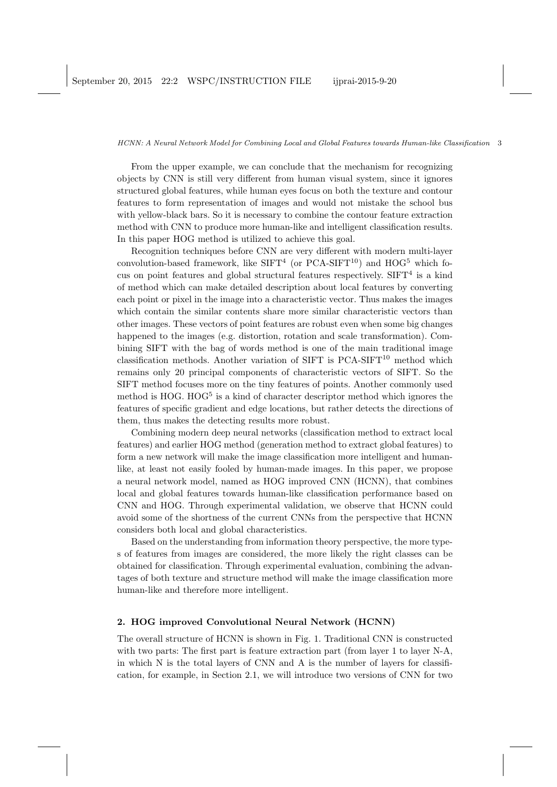From the upper example, we can conclude that the mechanism for recognizing objects by CNN is still very different from human visual system, since it ignores structured global features, while human eyes focus on both the texture and contour features to form representation of images and would not mistake the school bus with yellow-black bars. So it is necessary to combine the contour feature extraction method with CNN to produce more human-like and intelligent classification results. In this paper HOG method is utilized to achieve this goal.

Recognition techniques before CNN are very different with modern multi-layer convolution-based framework, like  $SIFT^4$  (or PCA-SIFT<sup>10</sup>) and HOG<sup>5</sup> which focus on point features and global structural features respectively.  $SIFT<sup>4</sup>$  is a kind of method which can make detailed description about local features by converting each point or pixel in the image into a characteristic vector. Thus makes the images which contain the similar contents share more similar characteristic vectors than other images. These vectors of point features are robust even when some big changes happened to the images (e.g. distortion, rotation and scale transformation). Combining SIFT with the bag of words method is one of the main traditional image classification methods. Another variation of SIFT is  $PCA-SIFT^{10}$  method which remains only 20 principal components of characteristic vectors of SIFT. So the SIFT method focuses more on the tiny features of points. Another commonly used method is HOG. HOG<sup>5</sup> is a kind of character descriptor method which ignores the features of specific gradient and edge locations, but rather detects the directions of them, thus makes the detecting results more robust.

Combining modern deep neural networks (classification method to extract local features) and earlier HOG method (generation method to extract global features) to form a new network will make the image classification more intelligent and humanlike, at least not easily fooled by human-made images. In this paper, we propose a neural network model, named as HOG improved CNN (HCNN), that combines local and global features towards human-like classification performance based on CNN and HOG. Through experimental validation, we observe that HCNN could avoid some of the shortness of the current CNNs from the perspective that HCNN considers both local and global characteristics.

Based on the understanding from information theory perspective, the more types of features from images are considered, the more likely the right classes can be obtained for classification. Through experimental evaluation, combining the advantages of both texture and structure method will make the image classification more human-like and therefore more intelligent.

# **2. HOG improved Convolutional Neural Network (HCNN)**

The overall structure of HCNN is shown in Fig. 1. Traditional CNN is constructed with two parts: The first part is feature extraction part (from layer 1 to layer N-A, in which N is the total layers of CNN and A is the number of layers for classification, for example, in Section 2.1, we will introduce two versions of CNN for two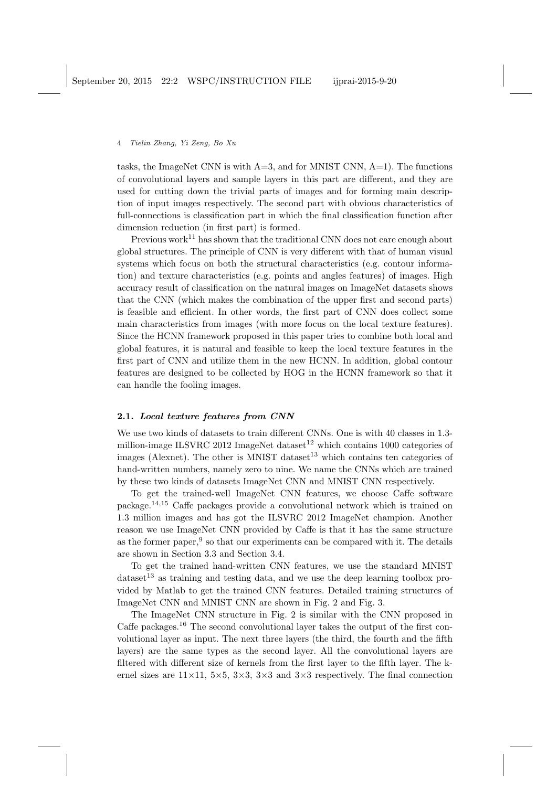tasks, the ImageNet CNN is with  $A=3$ , and for MNIST CNN,  $A=1$ ). The functions of convolutional layers and sample layers in this part are different, and they are used for cutting down the trivial parts of images and for forming main description of input images respectively. The second part with obvious characteristics of full-connections is classification part in which the final classification function after dimension reduction (in first part) is formed.

Previous work<sup>11</sup> has shown that the traditional CNN does not care enough about global structures. The principle of CNN is very different with that of human visual systems which focus on both the structural characteristics (e.g. contour information) and texture characteristics (e.g. points and angles features) of images. High accuracy result of classification on the natural images on ImageNet datasets shows that the CNN (which makes the combination of the upper first and second parts) is feasible and efficient. In other words, the first part of CNN does collect some main characteristics from images (with more focus on the local texture features). Since the HCNN framework proposed in this paper tries to combine both local and global features, it is natural and feasible to keep the local texture features in the first part of CNN and utilize them in the new HCNN. In addition, global contour features are designed to be collected by HOG in the HCNN framework so that it can handle the fooling images.

## **2.1.** *Local texture features from CNN*

We use two kinds of datasets to train different CNNs. One is with 40 classes in 1.3 million-image ILSVRC 2012 ImageNet dataset<sup>12</sup> which contains 1000 categories of images (Alexnet). The other is MNIST dataset<sup>13</sup> which contains ten categories of hand-written numbers, namely zero to nine. We name the CNNs which are trained by these two kinds of datasets ImageNet CNN and MNIST CNN respectively.

To get the trained-well ImageNet CNN features, we choose Caffe software package.<sup>14</sup>*,*<sup>15</sup> Caffe packages provide a convolutional network which is trained on 1.3 million images and has got the ILSVRC 2012 ImageNet champion. Another reason we use ImageNet CNN provided by Caffe is that it has the same structure as the former paper, $9$  so that our experiments can be compared with it. The details are shown in Section 3.3 and Section 3.4.

To get the trained hand-written CNN features, we use the standard MNIST  $dataset<sup>13</sup>$  as training and testing data, and we use the deep learning toolbox provided by Matlab to get the trained CNN features. Detailed training structures of ImageNet CNN and MNIST CNN are shown in Fig. 2 and Fig. 3.

The ImageNet CNN structure in Fig. 2 is similar with the CNN proposed in Caffe packages.<sup>16</sup> The second convolutional layer takes the output of the first convolutional layer as input. The next three layers (the third, the fourth and the fifth layers) are the same types as the second layer. All the convolutional layers are filtered with different size of kernels from the first layer to the fifth layer. The kernel sizes are  $11 \times 11$ ,  $5 \times 5$ ,  $3 \times 3$ ,  $3 \times 3$  and  $3 \times 3$  respectively. The final connection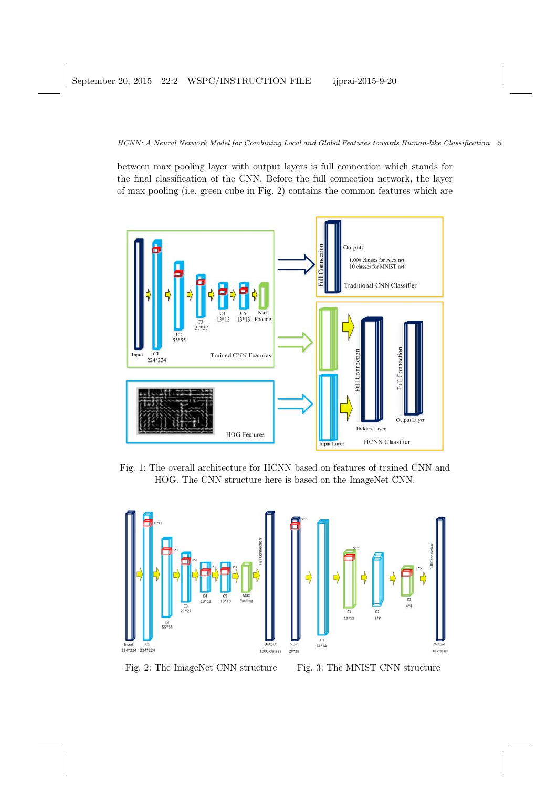between max pooling layer with output layers is full connection which stands for the final classification of the CNN. Before the full connection network, the layer of max pooling (i.e. green cube in Fig. 2) contains the common features which are



Fig. 1: The overall architecture for HCNN based on features of trained CNN and HOG. The CNN structure here is based on the ImageNet CNN.



Fig. 2: The ImageNet CNN structure Fig. 3: The MNIST CNN structure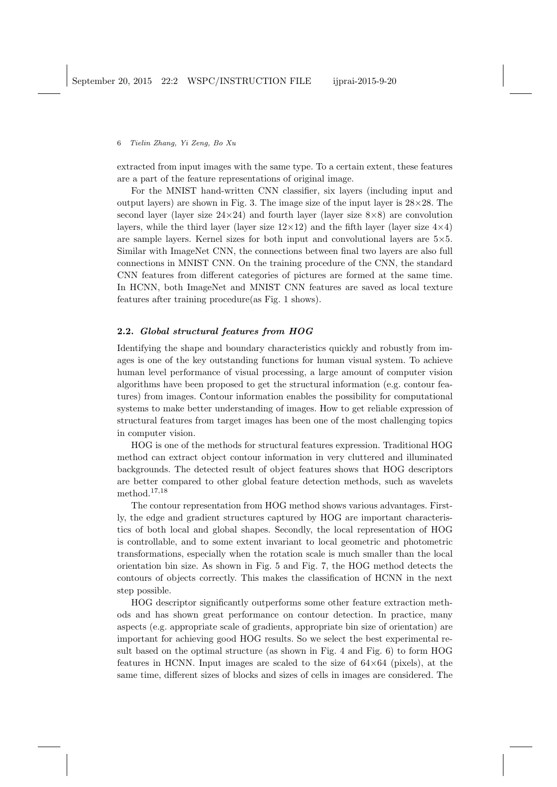extracted from input images with the same type. To a certain extent, these features are a part of the feature representations of original image.

For the MNIST hand-written CNN classifier, six layers (including input and output layers) are shown in Fig. 3. The image size of the input layer is 28*×*28. The second layer (layer size 24*×*24) and fourth layer (layer size 8*×*8) are convolution layers, while the third layer (layer size  $12\times12$ ) and the fifth layer (layer size  $4\times4$ ) are sample layers. Kernel sizes for both input and convolutional layers are 5*×*5. Similar with ImageNet CNN, the connections between final two layers are also full connections in MNIST CNN. On the training procedure of the CNN, the standard CNN features from different categories of pictures are formed at the same time. In HCNN, both ImageNet and MNIST CNN features are saved as local texture features after training procedure(as Fig. 1 shows).

## **2.2.** *Global structural features from HOG*

Identifying the shape and boundary characteristics quickly and robustly from images is one of the key outstanding functions for human visual system. To achieve human level performance of visual processing, a large amount of computer vision algorithms have been proposed to get the structural information (e.g. contour features) from images. Contour information enables the possibility for computational systems to make better understanding of images. How to get reliable expression of structural features from target images has been one of the most challenging topics in computer vision.

HOG is one of the methods for structural features expression. Traditional HOG method can extract object contour information in very cluttered and illuminated backgrounds. The detected result of object features shows that HOG descriptors are better compared to other global feature detection methods, such as wavelets method.<sup>17</sup>*,*<sup>18</sup>

The contour representation from HOG method shows various advantages. Firstly, the edge and gradient structures captured by HOG are important characteristics of both local and global shapes. Secondly, the local representation of HOG is controllable, and to some extent invariant to local geometric and photometric transformations, especially when the rotation scale is much smaller than the local orientation bin size. As shown in Fig. 5 and Fig. 7, the HOG method detects the contours of objects correctly. This makes the classification of HCNN in the next step possible.

HOG descriptor significantly outperforms some other feature extraction methods and has shown great performance on contour detection. In practice, many aspects (e.g. appropriate scale of gradients, appropriate bin size of orientation) are important for achieving good HOG results. So we select the best experimental result based on the optimal structure (as shown in Fig. 4 and Fig. 6) to form HOG features in HCNN. Input images are scaled to the size of 64*×*64 (pixels), at the same time, different sizes of blocks and sizes of cells in images are considered. The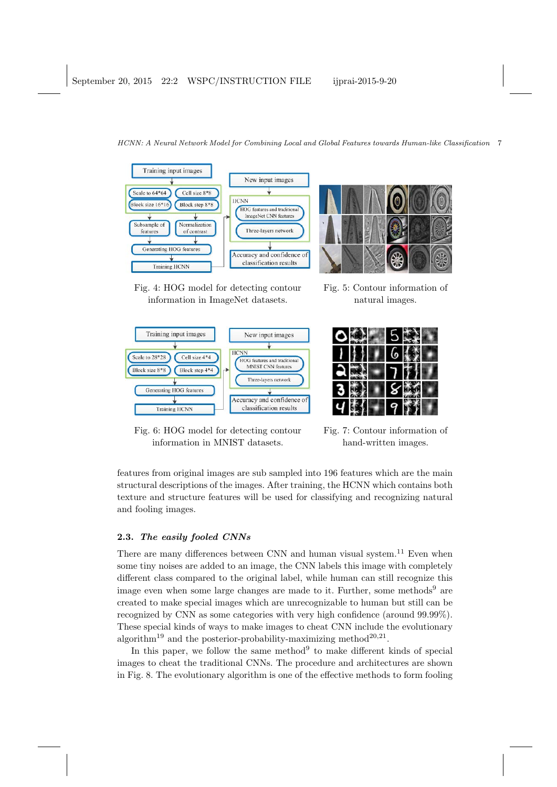

Fig. 4: HOG model for detecting contour information in ImageNet datasets.



Fig. 5: Contour information of natural images.

| ۱ |
|---|
|   |
|   |

Fig. 6: HOG model for detecting contour information in MNIST datasets.

Fig. 7: Contour information of hand-written images.

features from original images are sub sampled into 196 features which are the main structural descriptions of the images. After training, the HCNN which contains both texture and structure features will be used for classifying and recognizing natural and fooling images.

## **2.3.** *The easily fooled CNNs*

There are many differences between CNN and human visual system.<sup>11</sup> Even when some tiny noises are added to an image, the CNN labels this image with completely different class compared to the original label, while human can still recognize this image even when some large changes are made to it. Further, some methods<sup>9</sup> are created to make special images which are unrecognizable to human but still can be recognized by CNN as some categories with very high confidence (around 99.99%). These special kinds of ways to make images to cheat CNN include the evolutionary algorithm<sup>19</sup> and the posterior-probability-maximizing method<sup>20,21</sup>.

In this paper, we follow the same method<sup>9</sup> to make different kinds of special images to cheat the traditional CNNs. The procedure and architectures are shown in Fig. 8. The evolutionary algorithm is one of the effective methods to form fooling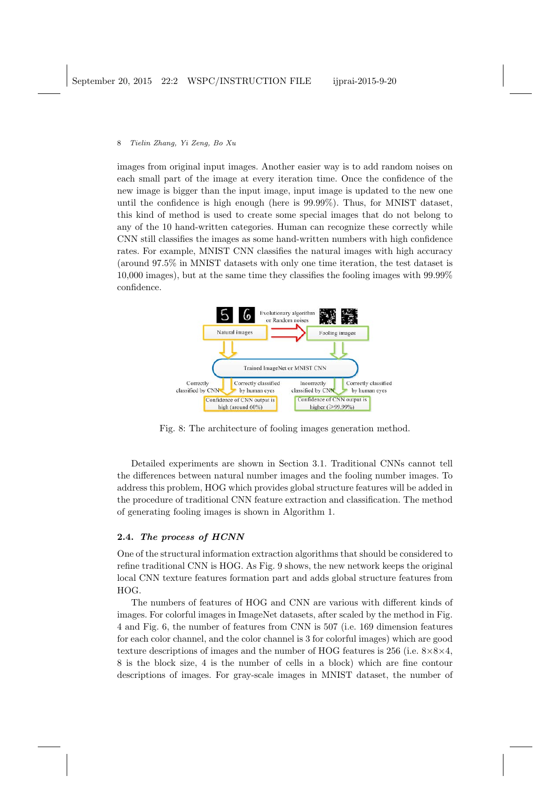images from original input images. Another easier way is to add random noises on each small part of the image at every iteration time. Once the confidence of the new image is bigger than the input image, input image is updated to the new one until the confidence is high enough (here is 99.99%). Thus, for MNIST dataset, this kind of method is used to create some special images that do not belong to any of the 10 hand-written categories. Human can recognize these correctly while CNN still classifies the images as some hand-written numbers with high confidence rates. For example, MNIST CNN classifies the natural images with high accuracy (around 97.5% in MNIST datasets with only one time iteration, the test dataset is 10,000 images), but at the same time they classifies the fooling images with 99.99% confidence.



Fig. 8: The architecture of fooling images generation method.

Detailed experiments are shown in Section 3.1. Traditional CNNs cannot tell the differences between natural number images and the fooling number images. To address this problem, HOG which provides global structure features will be added in the procedure of traditional CNN feature extraction and classification. The method of generating fooling images is shown in Algorithm 1.

## **2.4.** *The process of HCNN*

One of the structural information extraction algorithms that should be considered to refine traditional CNN is HOG. As Fig. 9 shows, the new network keeps the original local CNN texture features formation part and adds global structure features from HOG.

The numbers of features of HOG and CNN are various with different kinds of images. For colorful images in ImageNet datasets, after scaled by the method in Fig. 4 and Fig. 6, the number of features from CNN is 507 (i.e. 169 dimension features for each color channel, and the color channel is 3 for colorful images) which are good texture descriptions of images and the number of HOG features is 256 (i.e. 8*×*8*×*4, 8 is the block size, 4 is the number of cells in a block) which are fine contour descriptions of images. For gray-scale images in MNIST dataset, the number of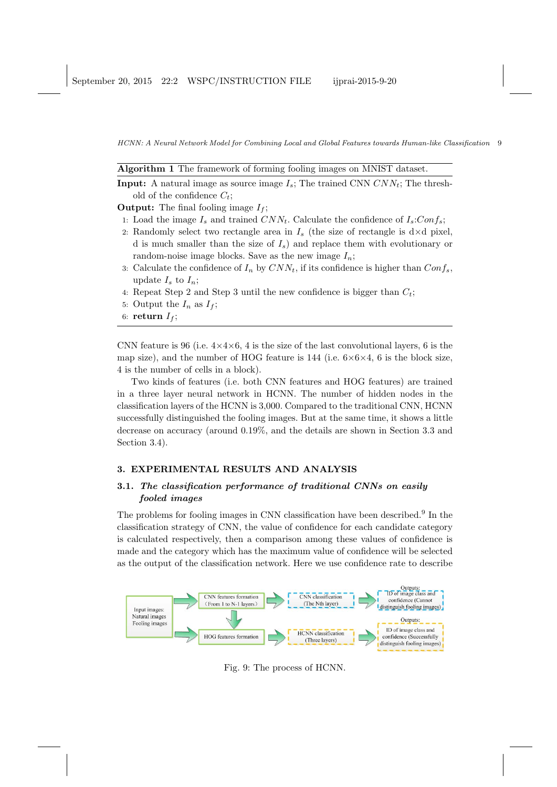| Algorithm 1 The framework of forming fooling images on MNIST dataset. |  |  |  |  |  |  |  |  |  |  |  |  |  |
|-----------------------------------------------------------------------|--|--|--|--|--|--|--|--|--|--|--|--|--|
|-----------------------------------------------------------------------|--|--|--|--|--|--|--|--|--|--|--|--|--|

**Input:** A natural image as source image  $I_s$ ; The trained CNN  $CNN_t$ ; The threshold of the confidence *Ct*;

**Output:** The final fooling image *I<sup>f</sup>* ;

- 1: Load the image  $I_s$  and trained  $CNN_t$ . Calculate the confidence of  $I_s:Conf_s$ ;
- 2: Randomly select two rectangle area in  $I_s$  (the size of rectangle is  $d \times d$  pixel, d is much smaller than the size of *Is*) and replace them with evolutionary or random-noise image blocks. Save as the new image  $I_n$ ;
- 3: Calculate the confidence of  $I_n$  by  $CNN_t$ , if its confidence is higher than  $Conf_s$ , update  $I_s$  to  $I_n$ ;
- 4: Repeat Step 2 and Step 3 until the new confidence is bigger than *Ct*;
- 5: Output the  $I_n$  as  $I_f$ ;
- 6: **return**  $I_f$ ;

CNN feature is 96 (i.e.  $4\times4\times6$ , 4 is the size of the last convolutional layers, 6 is the map size), and the number of HOG feature is 144 (i.e.  $6 \times 6 \times 4$ , 6 is the block size, 4 is the number of cells in a block).

Two kinds of features (i.e. both CNN features and HOG features) are trained in a three layer neural network in HCNN. The number of hidden nodes in the classification layers of the HCNN is 3,000. Compared to the traditional CNN, HCNN successfully distinguished the fooling images. But at the same time, it shows a little decrease on accuracy (around 0.19%, and the details are shown in Section 3.3 and Section 3.4).

## **3. EXPERIMENTAL RESULTS AND ANALYSIS**

# **3.1.** *The classification performance of traditional CNNs on easily fooled images*

The problems for fooling images in CNN classification have been described.<sup>9</sup> In the classification strategy of CNN, the value of confidence for each candidate category is calculated respectively, then a comparison among these values of confidence is made and the category which has the maximum value of confidence will be selected as the output of the classification network. Here we use confidence rate to describe



Fig. 9: The process of HCNN.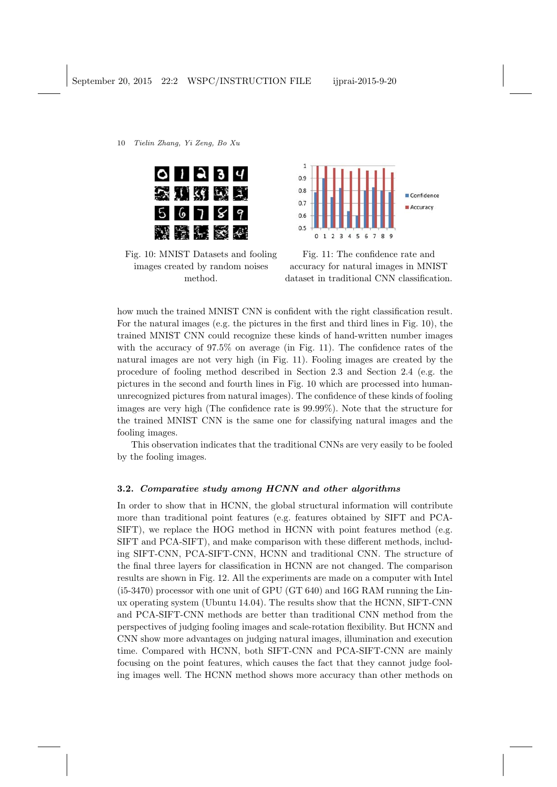|  | 011234 |  |
|--|--------|--|
|  | 会对约成员  |  |
|  | 56789  |  |
|  | 建南阳交叉  |  |



Fig. 10: MNIST Datasets and fooling images created by random noises method.

Fig. 11: The confidence rate and accuracy for natural images in MNIST dataset in traditional CNN classification.

how much the trained MNIST CNN is confident with the right classification result. For the natural images (e.g. the pictures in the first and third lines in Fig. 10), the trained MNIST CNN could recognize these kinds of hand-written number images with the accuracy of 97.5% on average (in Fig. 11). The confidence rates of the natural images are not very high (in Fig. 11). Fooling images are created by the procedure of fooling method described in Section 2.3 and Section 2.4 (e.g. the pictures in the second and fourth lines in Fig. 10 which are processed into humanunrecognized pictures from natural images). The confidence of these kinds of fooling images are very high (The confidence rate is 99.99%). Note that the structure for the trained MNIST CNN is the same one for classifying natural images and the fooling images.

This observation indicates that the traditional CNNs are very easily to be fooled by the fooling images.

## **3.2.** *Comparative study among HCNN and other algorithms*

In order to show that in HCNN, the global structural information will contribute more than traditional point features (e.g. features obtained by SIFT and PCA-SIFT), we replace the HOG method in HCNN with point features method (e.g. SIFT and PCA-SIFT), and make comparison with these different methods, including SIFT-CNN, PCA-SIFT-CNN, HCNN and traditional CNN. The structure of the final three layers for classification in HCNN are not changed. The comparison results are shown in Fig. 12. All the experiments are made on a computer with Intel (i5-3470) processor with one unit of GPU (GT 640) and 16G RAM running the Linux operating system (Ubuntu 14.04). The results show that the HCNN, SIFT-CNN and PCA-SIFT-CNN methods are better than traditional CNN method from the perspectives of judging fooling images and scale-rotation flexibility. But HCNN and CNN show more advantages on judging natural images, illumination and execution time. Compared with HCNN, both SIFT-CNN and PCA-SIFT-CNN are mainly focusing on the point features, which causes the fact that they cannot judge fooling images well. The HCNN method shows more accuracy than other methods on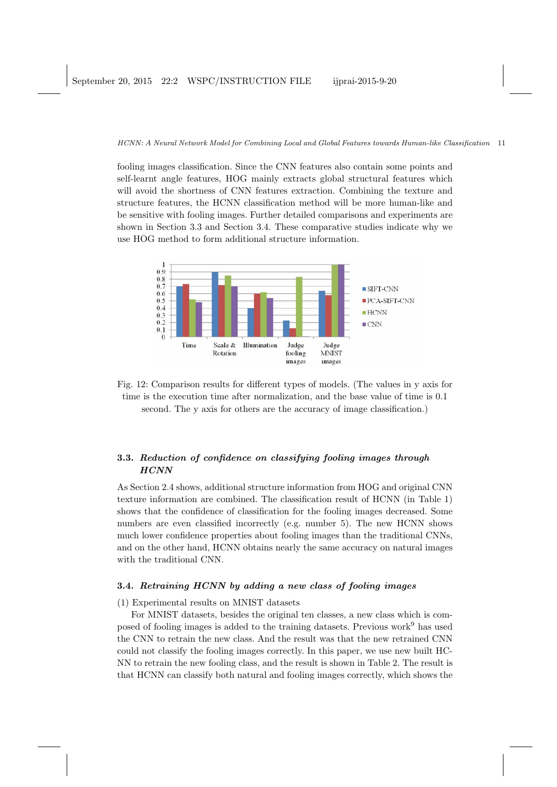fooling images classification. Since the CNN features also contain some points and self-learnt angle features, HOG mainly extracts global structural features which will avoid the shortness of CNN features extraction. Combining the texture and structure features, the HCNN classification method will be more human-like and be sensitive with fooling images. Further detailed comparisons and experiments are shown in Section 3.3 and Section 3.4. These comparative studies indicate why we use HOG method to form additional structure information.



Fig. 12: Comparison results for different types of models. (The values in y axis for time is the execution time after normalization, and the base value of time is 0.1 second. The y axis for others are the accuracy of image classification.)

# **3.3.** *Reduction of confidence on classifying fooling images through HCNN*

As Section 2.4 shows, additional structure information from HOG and original CNN texture information are combined. The classification result of HCNN (in Table 1) shows that the confidence of classification for the fooling images decreased. Some numbers are even classified incorrectly (e.g. number 5). The new HCNN shows much lower confidence properties about fooling images than the traditional CNNs, and on the other hand, HCNN obtains nearly the same accuracy on natural images with the traditional CNN.

## **3.4.** *Retraining HCNN by adding a new class of fooling images*

### (1) Experimental results on MNIST datasets

For MNIST datasets, besides the original ten classes, a new class which is composed of fooling images is added to the training datasets. Previous work<sup>9</sup> has used the CNN to retrain the new class. And the result was that the new retrained CNN could not classify the fooling images correctly. In this paper, we use new built HC-NN to retrain the new fooling class, and the result is shown in Table 2. The result is that HCNN can classify both natural and fooling images correctly, which shows the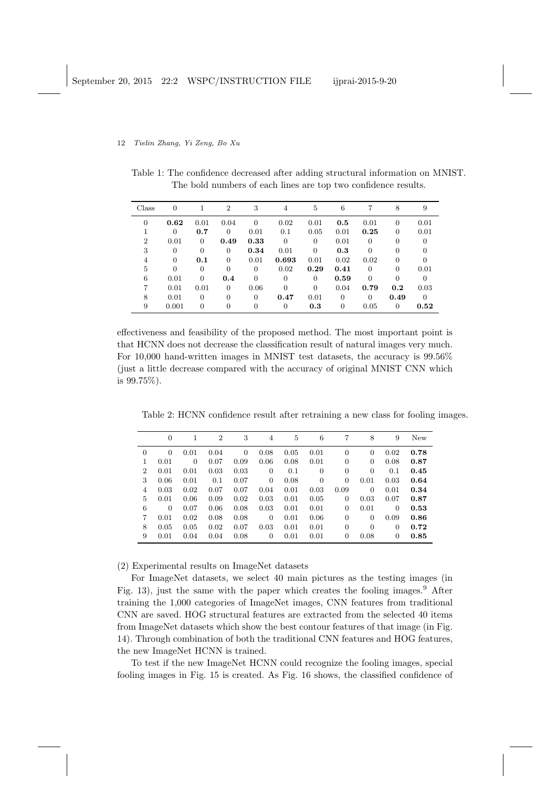Table 1: The confidence decreased after adding structural information on MNIST. The bold numbers of each lines are top two confidence results.

| Class          | $\theta$       |          | $\overline{2}$ | 3              | 4        | 5              | 6        | 7              | 8              | 9              |
|----------------|----------------|----------|----------------|----------------|----------|----------------|----------|----------------|----------------|----------------|
| $\overline{0}$ | 0.62           | 0.01     | 0.04           | $\theta$       | 0.02     | 0.01           | 0.5      | 0.01           | $\overline{0}$ | 0.01           |
|                | $\overline{0}$ | 0.7      | $\Omega$       | 0.01           | 0.1      | 0.05           | 0.01     | 0.25           | 0              | 0.01           |
| $\overline{2}$ | 0.01           | $\Omega$ | 0.49           | 0.33           | $\theta$ | $\overline{0}$ | 0.01     | $\overline{0}$ | 0              | $\overline{0}$ |
| 3              | $\overline{0}$ | $\Omega$ | $\theta$       | 0.34           | 0.01     | $\Omega$       | 0.3      | $\Omega$       | 0              | $\overline{0}$ |
| 4              | $\Omega$       | 0.1      | $\Omega$       | 0.01           | 0.693    | 0.01           | 0.02     | 0.02           | 0              | 0              |
| 5              | $\overline{0}$ | $\Omega$ | $\theta$       | $\theta$       | 0.02     | 0.29           | 0.41     | $\Omega$       | $\Omega$       | 0.01           |
| 6              | 0.01           | $\Omega$ | 0.4            | $\theta$       | $\Omega$ | $\Omega$       | 0.59     | $\Omega$       | $\Omega$       | $\overline{0}$ |
| 7              | 0.01           | 0.01     | $\Omega$       | 0.06           | $\Omega$ | $\Omega$       | 0.04     | 0.79           | 0.2            | 0.03           |
| 8              | 0.01           | $\Omega$ | $\Omega$       | $\Omega$       | 0.47     | 0.01           | $\theta$ | $\Omega$       | 0.49           | $\theta$       |
| 9              | 0.001          | $\Omega$ | $\Omega$       | $\overline{0}$ | 0        | 0.3            | $\theta$ | 0.05           | $\overline{0}$ | 0.52           |

effectiveness and feasibility of the proposed method. The most important point is that HCNN does not decrease the classification result of natural images very much. For 10,000 hand-written images in MNIST test datasets, the accuracy is 99.56% (just a little decrease compared with the accuracy of original MNIST CNN which is 99.75%).

Table 2: HCNN confidence result after retraining a new class for fooling images.

|                | $\theta$ |          | $\overline{2}$ | 3        | $\overline{4}$ | 5    | 6        | 7              | 8              | 9              | New  |
|----------------|----------|----------|----------------|----------|----------------|------|----------|----------------|----------------|----------------|------|
| $\overline{0}$ | $\theta$ | 0.01     | 0.04           | $\Omega$ | 0.08           | 0.05 | 0.01     | $\overline{0}$ | $\overline{0}$ | 0.02           | 0.78 |
| 1              | 0.01     | $\theta$ | 0.07           | 0.09     | 0.06           | 0.08 | 0.01     | $\overline{0}$ | 0              | 0.08           | 0.87 |
| $\overline{2}$ | 0.01     | 0.01     | 0.03           | 0.03     | $\theta$       | 0.1  | $\Omega$ | $\overline{0}$ | $\overline{0}$ | 0.1            | 0.45 |
| 3              | 0.06     | 0.01     | 0.1            | 0.07     | $\theta$       | 0.08 | $\theta$ | 0              | 0.01           | 0.03           | 0.64 |
| 4              | 0.03     | 0.02     | 0.07           | 0.07     | 0.04           | 0.01 | 0.03     | 0.09           | 0              | 0.01           | 0.34 |
| 5              | 0.01     | 0.06     | 0.09           | 0.02     | 0.03           | 0.01 | 0.05     | $\overline{0}$ | 0.03           | 0.07           | 0.87 |
| 6              | $\theta$ | 0.07     | 0.06           | 0.08     | 0.03           | 0.01 | 0.01     | $\overline{0}$ | 0.01           | $\overline{0}$ | 0.53 |
| 7              | 0.01     | 0.02     | 0.08           | 0.08     | $\theta$       | 0.01 | 0.06     | $\overline{0}$ | $\overline{0}$ | 0.09           | 0.86 |
| 8              | 0.05     | 0.05     | 0.02           | 0.07     | 0.03           | 0.01 | 0.01     | $\overline{0}$ | $\overline{0}$ | 0              | 0.72 |
| 9              | 0.01     | 0.04     | 0.04           | 0.08     | 0              | 0.01 | 0.01     | 0              | 0.08           | 0              | 0.85 |

(2) Experimental results on ImageNet datasets

For ImageNet datasets, we select 40 main pictures as the testing images (in Fig. 13), just the same with the paper which creates the fooling images.<sup>9</sup> After training the 1,000 categories of ImageNet images, CNN features from traditional CNN are saved. HOG structural features are extracted from the selected 40 items from ImageNet datasets which show the best contour features of that image (in Fig. 14). Through combination of both the traditional CNN features and HOG features, the new ImageNet HCNN is trained.

To test if the new ImageNet HCNN could recognize the fooling images, special fooling images in Fig. 15 is created. As Fig. 16 shows, the classified confidence of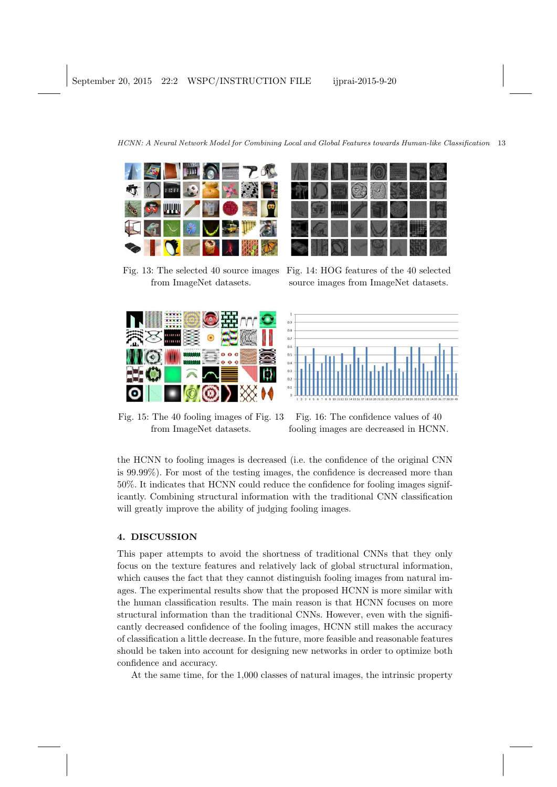

Fig. 13: The selected 40 source images from ImageNet datasets.





Fig. 14: HOG features of the 40 selected source images from ImageNet datasets.



Fig. 15: The 40 fooling images of Fig. 13 from ImageNet datasets.

Fig. 16: The confidence values of 40 fooling images are decreased in HCNN.

the HCNN to fooling images is decreased (i.e. the confidence of the original CNN is 99.99%). For most of the testing images, the confidence is decreased more than 50%. It indicates that HCNN could reduce the confidence for fooling images significantly. Combining structural information with the traditional CNN classification will greatly improve the ability of judging fooling images.

## **4. DISCUSSION**

This paper attempts to avoid the shortness of traditional CNNs that they only focus on the texture features and relatively lack of global structural information, which causes the fact that they cannot distinguish fooling images from natural images. The experimental results show that the proposed HCNN is more similar with the human classification results. The main reason is that HCNN focuses on more structural information than the traditional CNNs. However, even with the significantly decreased confidence of the fooling images, HCNN still makes the accuracy of classification a little decrease. In the future, more feasible and reasonable features should be taken into account for designing new networks in order to optimize both confidence and accuracy.

At the same time, for the 1,000 classes of natural images, the intrinsic property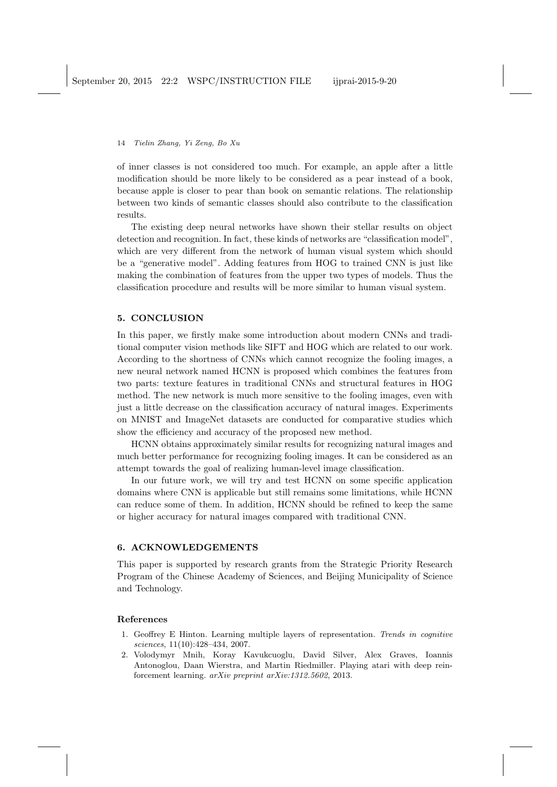of inner classes is not considered too much. For example, an apple after a little modification should be more likely to be considered as a pear instead of a book, because apple is closer to pear than book on semantic relations. The relationship between two kinds of semantic classes should also contribute to the classification results.

The existing deep neural networks have shown their stellar results on object detection and recognition. In fact, these kinds of networks are "classification model", which are very different from the network of human visual system which should be a "generative model". Adding features from HOG to trained CNN is just like making the combination of features from the upper two types of models. Thus the classification procedure and results will be more similar to human visual system.

## **5. CONCLUSION**

In this paper, we firstly make some introduction about modern CNNs and traditional computer vision methods like SIFT and HOG which are related to our work. According to the shortness of CNNs which cannot recognize the fooling images, a new neural network named HCNN is proposed which combines the features from two parts: texture features in traditional CNNs and structural features in HOG method. The new network is much more sensitive to the fooling images, even with just a little decrease on the classification accuracy of natural images. Experiments on MNIST and ImageNet datasets are conducted for comparative studies which show the efficiency and accuracy of the proposed new method.

HCNN obtains approximately similar results for recognizing natural images and much better performance for recognizing fooling images. It can be considered as an attempt towards the goal of realizing human-level image classification.

In our future work, we will try and test HCNN on some specific application domains where CNN is applicable but still remains some limitations, while HCNN can reduce some of them. In addition, HCNN should be refined to keep the same or higher accuracy for natural images compared with traditional CNN.

## **6. ACKNOWLEDGEMENTS**

This paper is supported by research grants from the Strategic Priority Research Program of the Chinese Academy of Sciences, and Beijing Municipality of Science and Technology.

### **References**

- 1. Geoffrey E Hinton. Learning multiple layers of representation. *Trends in cognitive sciences*, 11(10):428–434, 2007.
- 2. Volodymyr Mnih, Koray Kavukcuoglu, David Silver, Alex Graves, Ioannis Antonoglou, Daan Wierstra, and Martin Riedmiller. Playing atari with deep reinforcement learning. *arXiv preprint arXiv:1312.5602*, 2013.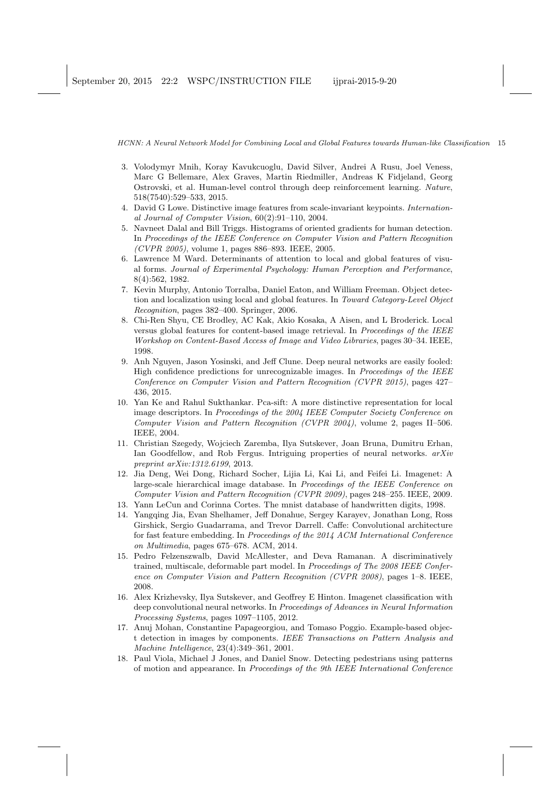- 3. Volodymyr Mnih, Koray Kavukcuoglu, David Silver, Andrei A Rusu, Joel Veness, Marc G Bellemare, Alex Graves, Martin Riedmiller, Andreas K Fidjeland, Georg Ostrovski, et al. Human-level control through deep reinforcement learning. *Nature*, 518(7540):529–533, 2015.
- 4. David G Lowe. Distinctive image features from scale-invariant keypoints. *International Journal of Computer Vision*, 60(2):91–110, 2004.
- 5. Navneet Dalal and Bill Triggs. Histograms of oriented gradients for human detection. In *Proceedings of the IEEE Conference on Computer Vision and Pattern Recognition (CVPR 2005)*, volume 1, pages 886–893. IEEE, 2005.
- 6. Lawrence M Ward. Determinants of attention to local and global features of visual forms. *Journal of Experimental Psychology: Human Perception and Performance*, 8(4):562, 1982.
- 7. Kevin Murphy, Antonio Torralba, Daniel Eaton, and William Freeman. Object detection and localization using local and global features. In *Toward Category-Level Object Recognition*, pages 382–400. Springer, 2006.
- 8. Chi-Ren Shyu, CE Brodley, AC Kak, Akio Kosaka, A Aisen, and L Broderick. Local versus global features for content-based image retrieval. In *Proceedings of the IEEE Workshop on Content-Based Access of Image and Video Libraries*, pages 30–34. IEEE, 1998.
- 9. Anh Nguyen, Jason Yosinski, and Jeff Clune. Deep neural networks are easily fooled: High confidence predictions for unrecognizable images. In *Proceedings of the IEEE Conference on Computer Vision and Pattern Recognition (CVPR 2015)*, pages 427– 436, 2015.
- 10. Yan Ke and Rahul Sukthankar. Pca-sift: A more distinctive representation for local image descriptors. In *Proceedings of the 2004 IEEE Computer Society Conference on Computer Vision and Pattern Recognition (CVPR 2004)*, volume 2, pages II–506. IEEE, 2004.
- 11. Christian Szegedy, Wojciech Zaremba, Ilya Sutskever, Joan Bruna, Dumitru Erhan, Ian Goodfellow, and Rob Fergus. Intriguing properties of neural networks. *arXiv preprint arXiv:1312.6199*, 2013.
- 12. Jia Deng, Wei Dong, Richard Socher, Lijia Li, Kai Li, and Feifei Li. Imagenet: A large-scale hierarchical image database. In *Proceedings of the IEEE Conference on Computer Vision and Pattern Recognition (CVPR 2009)*, pages 248–255. IEEE, 2009.
- 13. Yann LeCun and Corinna Cortes. The mnist database of handwritten digits, 1998.
- 14. Yangqing Jia, Evan Shelhamer, Jeff Donahue, Sergey Karayev, Jonathan Long, Ross Girshick, Sergio Guadarrama, and Trevor Darrell. Caffe: Convolutional architecture for fast feature embedding. In *Proceedings of the 2014 ACM International Conference on Multimedia*, pages 675–678. ACM, 2014.
- 15. Pedro Felzenszwalb, David McAllester, and Deva Ramanan. A discriminatively trained, multiscale, deformable part model. In *Proceedings of The 2008 IEEE Conference on Computer Vision and Pattern Recognition (CVPR 2008)*, pages 1–8. IEEE, 2008.
- 16. Alex Krizhevsky, Ilya Sutskever, and Geoffrey E Hinton. Imagenet classification with deep convolutional neural networks. In *Proceedings of Advances in Neural Information Processing Systems*, pages 1097–1105, 2012.
- 17. Anuj Mohan, Constantine Papageorgiou, and Tomaso Poggio. Example-based object detection in images by components. *IEEE Transactions on Pattern Analysis and Machine Intelligence*, 23(4):349–361, 2001.
- 18. Paul Viola, Michael J Jones, and Daniel Snow. Detecting pedestrians using patterns of motion and appearance. In *Proceedings of the 9th IEEE International Conference*